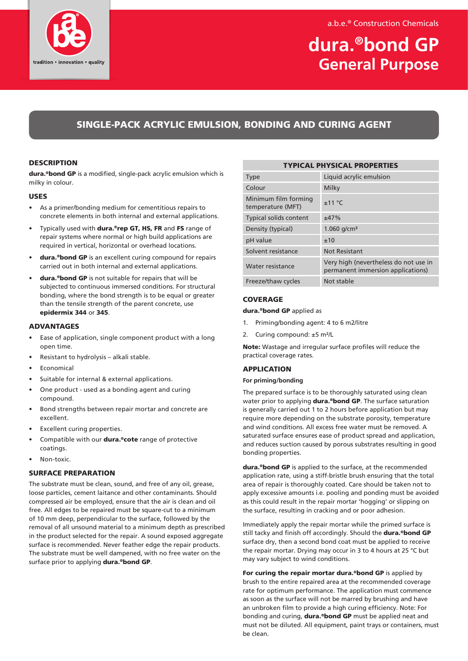



# **dura.®bond GP General Purpose**

# SINGLE-PACK ACRYLIC EMULSION, BONDING AND CURING AGENT

# **DESCRIPTION**

dura.<sup>®</sup>bond GP is a modified, single-pack acrylic emulsion which is milky in colour.

#### USES

- As a primer/bonding medium for cementitious repairs to concrete elements in both internal and external applications.
- Typically used with dura.®rep GT, HS, FR and FS range of repair systems where normal or high build applications are required in vertical, horizontal or overhead locations.
- dura.<sup>®</sup>bond GP is an excellent curing compound for repairs carried out in both internal and external applications.
- dura.®bond GP is not suitable for repairs that will be subjected to continuous immersed conditions. For structural bonding, where the bond strength is to be equal or greater than the tensile strength of the parent concrete, use epidermix 344 or 345.

#### ADVANTAGES

- Ease of application, single component product with a long open time.
- Resistant to hydrolysis alkali stable.
- **F**conomical
- Suitable for internal & external applications.
- One product used as a bonding agent and curing compound.
- Bond strengths between repair mortar and concrete are excellent.
- Excellent curing properties.
- Compatible with our dura.®cote range of protective coatings.
- Non-toxic.

### SURFACE PREPARATION

The substrate must be clean, sound, and free of any oil, grease, loose particles, cement laitance and other contaminants. Should compressed air be employed, ensure that the air is clean and oil free. All edges to be repaired must be square-cut to a minimum of 10 mm deep, perpendicular to the surface, followed by the removal of all unsound material to a minimum depth as prescribed in the product selected for the repair. A sound exposed aggregate surface is recommended. Never feather edge the repair products. The substrate must be well dampened, with no free water on the surface prior to applying dura.<sup>®</sup>bond GP.

| <b>TYPICAL PHYSICAL PROPERTIES</b>        |                                                                            |
|-------------------------------------------|----------------------------------------------------------------------------|
| <b>Type</b>                               | Liquid acrylic emulsion                                                    |
| Colour                                    | Milky                                                                      |
| Minimum film forming<br>temperature (MFT) | ±11 °C                                                                     |
| <b>Typical solids content</b>             | ±47%                                                                       |
| Density (typical)                         | $1.060$ g/cm <sup>3</sup>                                                  |
| pH value                                  | ±10                                                                        |
| Solvent resistance                        | <b>Not Resistant</b>                                                       |
| Water resistance                          | Very high (nevertheless do not use in<br>permanent immersion applications) |
| Freeze/thaw cycles                        | Not stable                                                                 |

### **COVERAGE**

#### dura.®bond GP applied as

- 1. Priming/bonding agent: 4 to 6 m2/litre
- 2. Curing compound: ±5 m²/L

Note: Wastage and irregular surface profiles will reduce the practical coverage rates.

#### **APPLICATION**

#### **For priming/bonding**

The prepared surface is to be thoroughly saturated using clean water prior to applying **dura.**<sup>®</sup>bond GP. The surface saturation is generally carried out 1 to 2 hours before application but may require more depending on the substrate porosity, temperature and wind conditions. All excess free water must be removed. A saturated surface ensures ease of product spread and application, and reduces suction caused by porous substrates resulting in good bonding properties.

dura.<sup>®</sup>bond GP is applied to the surface, at the recommended application rate, using a stiff-bristle brush ensuring that the total area of repair is thoroughly coated. Care should be taken not to apply excessive amounts i.e. pooling and ponding must be avoided as this could result in the repair mortar 'hogging' or slipping on the surface, resulting in cracking and or poor adhesion.

Immediately apply the repair mortar while the primed surface is still tacky and finish off accordingly. Should the dura.<sup>®</sup>bond GP surface dry, then a second bond coat must be applied to receive the repair mortar. Drying may occur in 3 to 4 hours at 25 °C but may vary subject to wind conditions.

For curing the repair mortar dura.<sup>®</sup>bond GP is applied by brush to the entire repaired area at the recommended coverage rate for optimum performance. The application must commence as soon as the surface will not be marred by brushing and have an unbroken film to provide a high curing efficiency. Note: For bonding and curing, **dura.**<sup>®</sup>bond GP must be applied neat and must not be diluted. All equipment, paint trays or containers, must be clean.